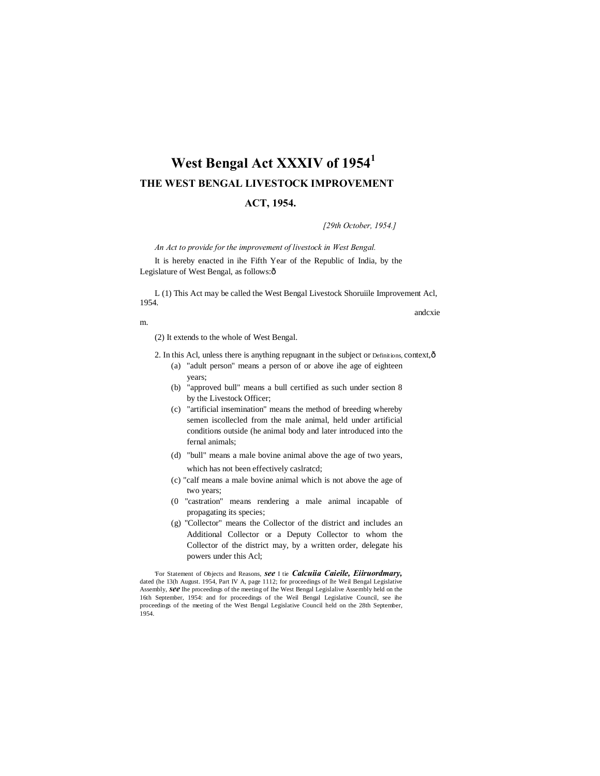# **West Bengal Act XXXIV of 1954<sup>1</sup> THE WEST BENGAL LIVESTOCK IMPROVEMENT**

## **ACT, 1954.**

*[29th October, 1954.]*

*An Act to provide for the improvement of livestock in West Bengal.*

It is hereby enacted in ihe Fifth Year of the Republic of India, by the Legislature of West Bengal, as follows: $\hat{o}$ 

L (1) This Act may be called the West Bengal Livestock Shoruiile Improvement Acl, 1954. andcxie

m.

(2) It extends to the whole of West Bengal.

- 2. In this Acl, unless there is anything repugnant in the subject or Definitions, context, ô (a) "adult person" means a person of or above ihe age of eighteen years;
	- (b) "approved bull" means a bull certified as such under section 8 by the Livestock Officer;
	- (c) "artificial insemination" means the method of breeding whereby semen iscollecled from the male animal, held under artificial conditions outside (he animal body and later introduced into the fernal animals;
	- (d) "bull" means a male bovine animal above the age of two years, which has not been effectively caslratcd;
	- (c) "calf means a male bovine animal which is not above the age of two years;
	- (0 "castration" means rendering a male animal incapable of propagating its species;
	- (g) "Collector" means the Collector of the district and includes an Additional Collector or a Deputy Collector to whom the Collector of the district may, by a written order, delegate his powers under this Acl;

'For Statement of Objects and Reasons, *see* I tie *Calcuiia Caieile, Eiiruordmary,* dated (he 13(h August. 1954, Part IV A, page 1112; for proceedings of Ihe Weil Bengal Legislative Assembly, *see* Ihe proceedings of the meeting of Ihe West Bengal Legislalive Assembly held on the 16th September, 1954: and for proceedings of the Weil Bengal Legislative Council, see ihe proceedings of the meeting of the West Bengal Legislative Council held on the 28th September, 1954.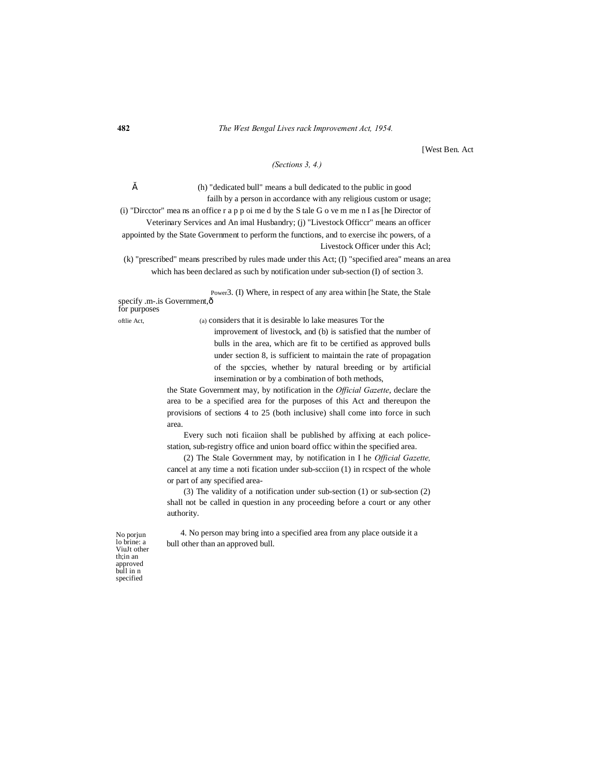[West Ben. Act

## *(Sections 3, 4.)*

" (h) "dedicated bull" means a bull dedicated to the public in good failh by a person in accordance with any religious custom or usage; (i) "Dircctor" mea ns an office r a p p oi me d by the S tale G o ve m me n I as [he Director of

Veterinary Services and An imal Husbandry; (j) "Livestock Officcr" means an officer appointed by the State Government to perform the functions, and to exercise ihc powers, of a Livestock Officer under this Acl;

(k) "prescribed" means prescribed by rules made under this Act; (I) "specified area" means an area which has been declared as such by notification under sub-section (I) of section 3.

Power3. (I) Where, in respect of any area within [he State, the Stale specify .m-.is Government, ô for purposes

oftlie Act, (a) considers that it is desirable lo lake measures Tor the

improvement of livestock, and (b) is satisfied that the number of bulls in the area, which are fit to be certified as approved bulls under section 8, is sufficient to maintain the rate of propagation of the spccies, whether by natural breeding or by artificial insemination or by a combination of both methods,

the State Government may, by notification in the *Official Gazette*, declare the area to be a specified area for the purposes of this Act and thereupon the provisions of sections 4 to 25 (both inclusive) shall come into force in such area.

Every such noti ficaiion shall be published by affixing at each policestation, sub-registry office and union board officc within the specified area.

(2) The Stale Government may, by notification in I he *Official Gazette,* cancel at any time a noti fication under sub-scciion (1) in rcspect of the whole or part of any specified area-

(3) The validity of a notification under sub-section (1) or sub-section (2) shall not be called in question in any proceeding before a court or any other authority.

4. No person may bring into a specified area from any place outside it a bull other than an approved bull.

No porjun lo brine: a ViuJt other th;in an approved bull in n specified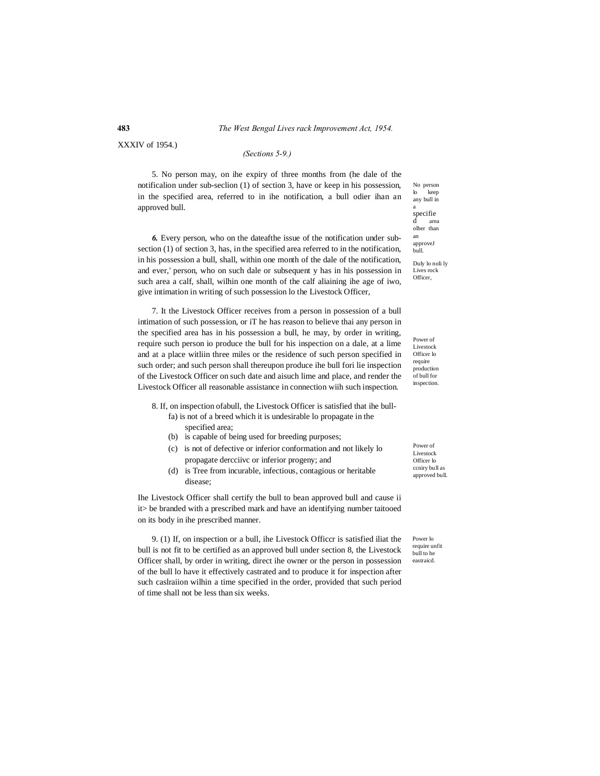## **483** *The West Bengal Lives rack Improvement Act, 1954.*

XXXIV of 1954.)

#### *(Sections 5-9.)*

5. No person may, on ihe expiry of three months from (he dale of the notificalion under sub-seclion (1) of section 3, have or keep in his possession, in the specified area, referred to in ihe notification, a bull odier ihan an approved bull.

*6.* Every person, who on the dateafthe issue of the notification under subsection (1) of section 3, has, in the specified area referred to in the notification, in his possession a bull, shall, within one month of the dale of the notification, and ever,' person, who on such dale or subsequent y has in his possession in such area a calf, shall, wilhin one month of the calf aliaining ihe age of iwo, give intimation in writing of such possession lo the Livestock Officer,

7. It the Livestock Officer receives from a person in possession of a bull intimation of such possession, or iT he has reason to believe thai any person in the specified area has in his possession a bull, he may, by order in writing, require such person io produce the bull for his inspection on a dale, at a lime and at a place witliin three miles or the residence of such person specified in such order; and such person shall thereupon produce ihe bull fori lie inspection of the Livestock Officer on such date and aisuch lime and place, and render the Livestock Officer all reasonable assistance in connection wiih such inspection.

8. If, on inspection ofabull, the Livestock Officer is satisfied that ihe bullfa) is not of a breed which it is undesirable lo propagate in the

- specified area;
- (b) is capable of being used for breeding purposes;
- (c) is not of defective or inferior conformation and not likely lo propagate dercciivc or inferior progeny; and
- (d) is Tree from incurable, infectious, contagious or heritable disease;

Ihe Livestock Officer shall certify the bull to bean approved bull and cause ii it> be branded with a prescribed mark and have an identifying number taitooed on its body in ihe prescribed manner.

9. (1) If, on inspection or a bull, ihe Livestock Officcr is satisfied iliat the bull is not fit to be certified as an approved bull under section 8, the Livestock Officer shall, by order in writing, direct ihe owner or the person in possession of the bull lo have it effectively castrated and to produce it for inspection after such caslraiion wilhin a time specified in the order, provided that such period of time shall not be less than six weeks.

No person<br>lo keep keep any bull in <sub>a</sub><br>specifie d area olher than an approveJ bull. Duly lo noli ly

Lives rock Officer,

Power of Livestock Officer lo require production

of bull for inspection.

Power of Livestock Officer lo ccniry bull as approved bull.

Power lo require unfit bull to he eastraicd.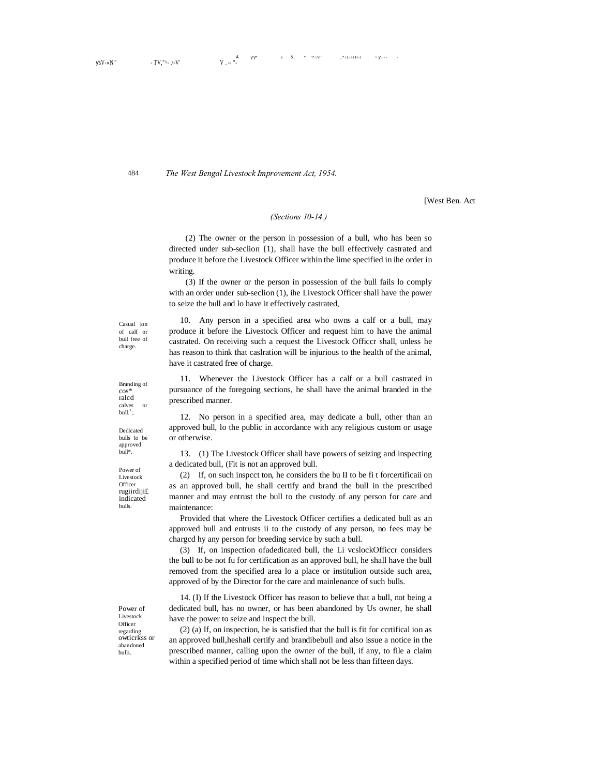$sV_{\cdot} N''$  - TV, "^- .\-V'

*The West Bengal Livestock Improvement Act, 1954.*

[West Ben. Act

#### *(Sections 10-14.)*

(2) The owner or the person in possession of a bull, who has been so directed under sub-seclion {1), shall have the bull effectively castrated and produce it before the Livestock Officer within the lime specified in ihe order in writing.

(3) If the owner or the person in possession of the bull fails lo comply with an order under sub-seclion (1), ihe Livestock Officer shall have the power to seize the bull and lo have it effectively castrated,

Casual ion of calf or bull free of charge.

484

10. Any person in a specified area who owns a calf or a bull, may produce it before ihe Livestock Officer and request him to have the animal castrated. On receiving such a request the Livestock Officcr shall, unless he has reason to think that caslration will be injurious to the health of the animal, have it castrated free of charge.

11. Whenever the Livestock Officer has a calf or a bull castrated in pursuance of the foregoing sections, he shall have the animal branded in the prescribed manner.

12. No person in a specified area, may dedicate a bull, other than an approved bull, lo the public in accordance with any religious custom or usage or otherwise.

13. (1) The Livestock Officer shall have powers of seizing and inspecting a dedicated bull, (Fit is not an approved bull.

(2) If, on such inspcct ton, he considers the bu II to be fi t forcertificaii on as an approved bull, he shall certify and brand the bull in the prescribed manner and may entrust the bull to the custody of any person for care and maintenance:

Provided that where the Livestock Officer certifies a dedicated bull as an approved bull and entrusts ii to the custody of any person, no fees may be chargcd hy any person for breeding service by such a bull.

(3) If, on inspection ofadedicated bull, the Li vcslockOfficcr considers the bull to be not fu for certification as an approved bull, he shall have the bull removed from the specified area lo a place or institulion outside such area, approved of by the Director for the care and mainlenance of such bulls.

14. (I) If the Livestock Officer has reason to believe that a bull, not being a dedicated bull, has no owner, or has been abandoned by Us owner, he shall have the power to seize and inspect the bull.

(2) (a) If, on inspection, he is satisfied that the bull is fit for ccrtifical ion as an approved bull,heshall certify and brandibebull and also issue a notice in the prescribed manner, calling upon the owner of the bull, if any, to file a claim within a specified period of time which shall not be less than fifteen days.

Dedicated bulls lo be approved bull\*.

Branding of cos\* ralcd calves or<br>bull.<sup>1</sup>;.

Power of Livestock **Officer** rugiirdiji£ indicated bulls.

Power of Livestock Officer regarding owticrkss or abandoned bulls.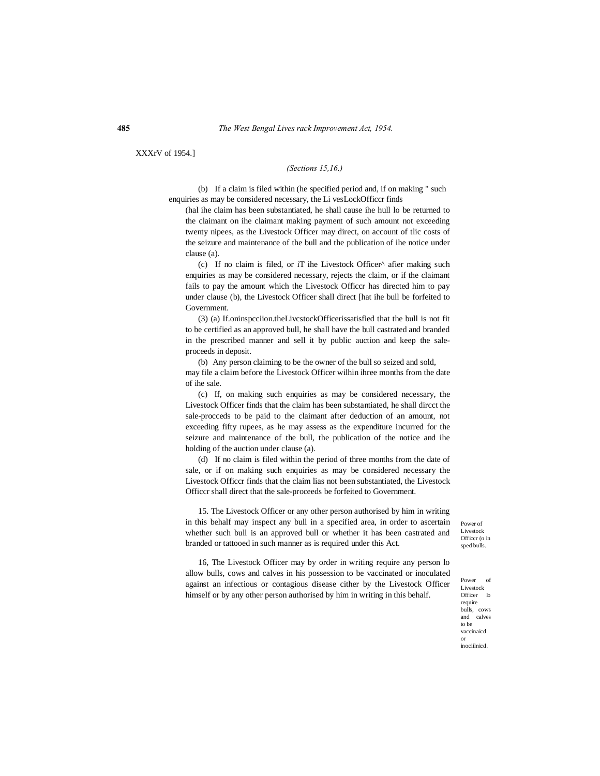XXXrV of 1954.]

#### *(Sections 15,16.)*

(b) If a claim is filed within (he specified period and, if on making " such enquiries as may be considered necessary, the Li vesLockOfficcr finds

(hal ihe claim has been substantiated, he shall cause ihe hull lo be returned to the claimant on ihe claimant making payment of such amount not exceeding twenty nipees, as the Livestock Officer may direct, on account of tlic costs of the seizure and maintenance of the bull and the publication of ihe notice under clause (a).

(c) If no claim is filed, or iT ihe Livestock Officer^ afier making such enquiries as may be considered necessary, rejects the claim, or if the claimant fails to pay the amount which the Livestock Officcr has directed him to pay under clause (b), the Livestock Officer shall direct [hat ihe bull be forfeited to Government.

(3) (a) If.oninspcciion.theLivcstockOfficerissatisfied that the bull is not fit to be certified as an approved bull, he shall have the bull castrated and branded in the prescribed manner and sell it by public auction and keep the saleproceeds in deposit.

(b) Any person claiming to be the owner of the bull so seized and sold, may file a claim before the Livestock Officer wilhin ihree months from the date of ihe sale.

(c) If, on making such enquiries as may be considered necessary, the Livestock Officer finds that the claim has been substantiated, he shall dircct the sale-procceds to be paid to the claimant after deduction of an amount, not exceeding fifty rupees, as he may assess as the expenditure incurred for the seizure and maintenance of the bull, the publication of the notice and ihe holding of the auction under clause (a).

(d) If no claim is filed within the period of three months from the date of sale, or if on making such enquiries as may be considered necessary the Livestock Officcr finds that the claim lias not been substantiated, the Livestock Officcr shall direct that the sale-proceeds be forfeited to Government.

15. The Livestock Officer or any other person authorised by him in writing in this behalf may inspect any bull in a specified area, in order to ascertain whether such bull is an approved bull or whether it has been castrated and branded or tattooed in such manner as is required under this Act.

Power of Livestock Officcr (o in sped bulls.

16, The Livestock Officer may by order in writing require any person lo allow bulls, cows and calves in his possession to be vaccinated or inoculated against an infectious or contagious disease cither by the Livestock Officer himself or by any other person authorised by him in writing in this behalf.

Power of Livestock<br>Officer lo Officer require bulls, cows and calves to be vaccinaicd or inociilnicd.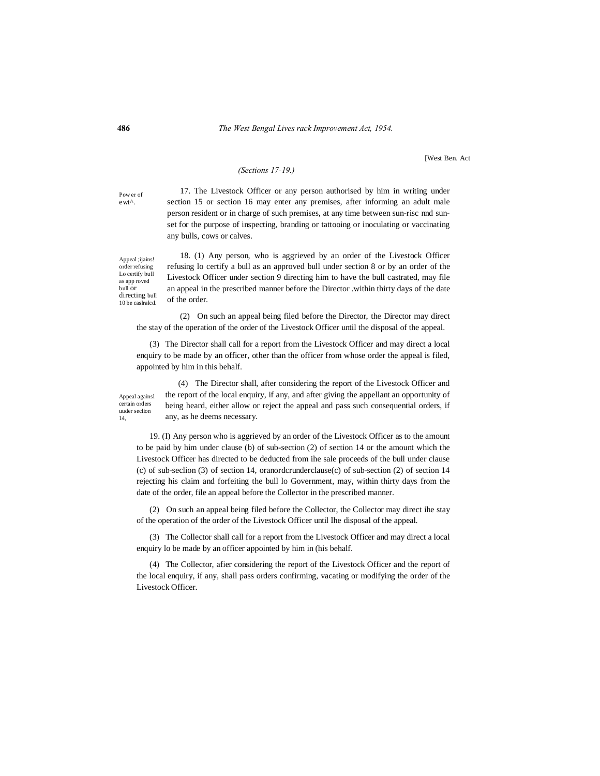## **486** *The West Bengal Lives rack Improvement Act, 1954.*

[West Ben. Act

### *(Sections 17-19.)*

Pow er of ewt^.

17. The Livestock Officer or any person authorised by him in writing under section 15 or section 16 may enter any premises, after informing an adult male person resident or in charge of such premises, at any time between sun-risc nnd sunset for the purpose of inspecting, branding or tattooing or inoculating or vaccinating any bulls, cows or calves.

Appeal ;ijains! order refusing Lo certify bull as app roved bull or directing bull 10 be caslralcd.

18. (1) Any person, who is aggrieved by an order of the Livestock Officer refusing lo certify a bull as an approved bull under section 8 or by an order of the Livestock Officer under section 9 directing him to have the bull castrated, may file an appeal in the prescribed manner before the Director .within thirty days of the date of the order.

(2) On such an appeal being filed before the Director, the Director may direct the stay of the operation of the order of the Livestock Officer until the disposal of the appeal.

(3) The Director shall call for a report from the Livestock Officer and may direct a local enquiry to be made by an officer, other than the officer from whose order the appeal is filed, appointed by him in this behalf.

Appeal againsl certain orders uuder seclion 14,

(4) The Director shall, after considering the report of the Livestock Officer and the report of the local enquiry, if any, and after giving the appellant an opportunity of being heard, either allow or reject the appeal and pass such consequential orders, if any, as he deems necessary.

19. (I) Any person who is aggrieved by an order of the Livestock Officer as to the amount to be paid by him under clause (b) of sub-section (2) of section 14 or the amount which the Livestock Officer has directed to be deducted from ihe sale proceeds of the bull under clause (c) of sub-seclion (3) of section 14, oranordcrunderclause(c) of sub-section (2) of section 14 rejecting his claim and forfeiting the bull lo Government, may, within thirty days from the date of the order, file an appeal before the Collector in the prescribed manner.

(2) On such an appeal being filed before the Collector, the Collector may direct ihe stay of the operation of the order of the Livestock Officer until Ihe disposal of the appeal.

(3) The Collector shall call for a report from the Livestock Officer and may direct a local enquiry lo be made by an officer appointed by him in (his behalf.

(4) The Collector, afier considering the report of the Livestock Officer and the report of the local enquiry, if any, shall pass orders confirming, vacating or modifying the order of the Livestock Officer.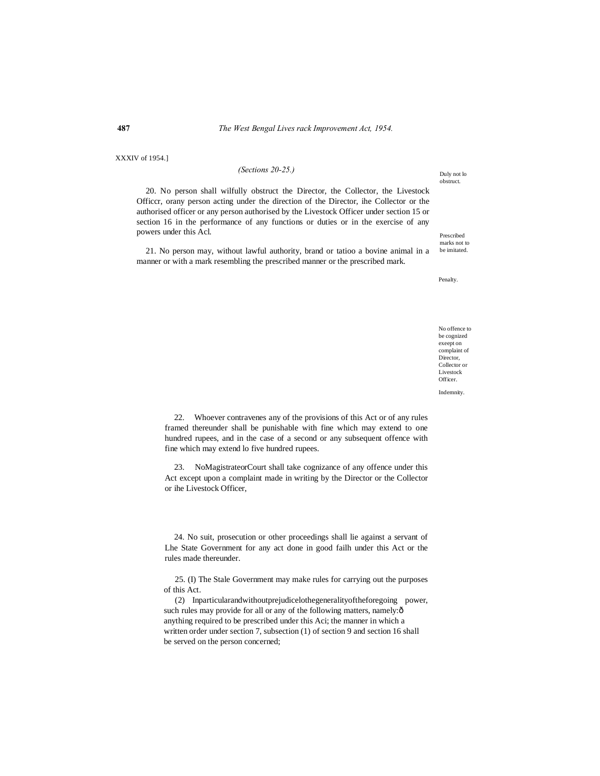XXXIV of 1954.]

#### *(Sections 20-25.)*

20. No person shall wilfully obstruct the Director, the Collector, the Livestock Officcr, orany person acting under the direction of the Director, ihe Collector or the authorised officer or any person authorised by the Livestock Officer under section 15 or section 16 in the performance of any functions or duties or in the exercise of any powers under this Acl.

21. No person may, without lawful authority, brand or tatioo a bovine animal in a manner or with a mark resembling the prescribed manner or the prescribed mark.

Prescribed marks not to be imitated.

Duly not lo obstruct.

Penalty.

No offence to be cognized exeept on complaint of Director, Collector or Livestock Officer.

Indemnity.

22. Whoever contravenes any of the provisions of this Act or of any rules framed thereunder shall be punishable with fine which may extend to one hundred rupees, and in the case of a second or any subsequent offence with fine which may extend lo five hundred rupees.

23. NoMagistrateorCourt shall take cognizance of any offence under this Act except upon a complaint made in writing by the Director or the Collector or ihe Livestock Officer,

24. No suit, prosecution or other proceedings shall lie against a servant of Lhe State Government for any act done in good failh under this Act or the rules made thereunder.

25. (I) The Stale Government may make rules for carrying out the purposes of this Act.

(2) Inparticularandwithoutprejudicelothegeneralityoftheforegoing power, such rules may provide for all or any of the following matters, namely: $\hat{o}$ anything required to be prescribed under this Aci; the manner in which a written order under section 7, subsection (1) of section 9 and section 16 shall be served on the person concerned;